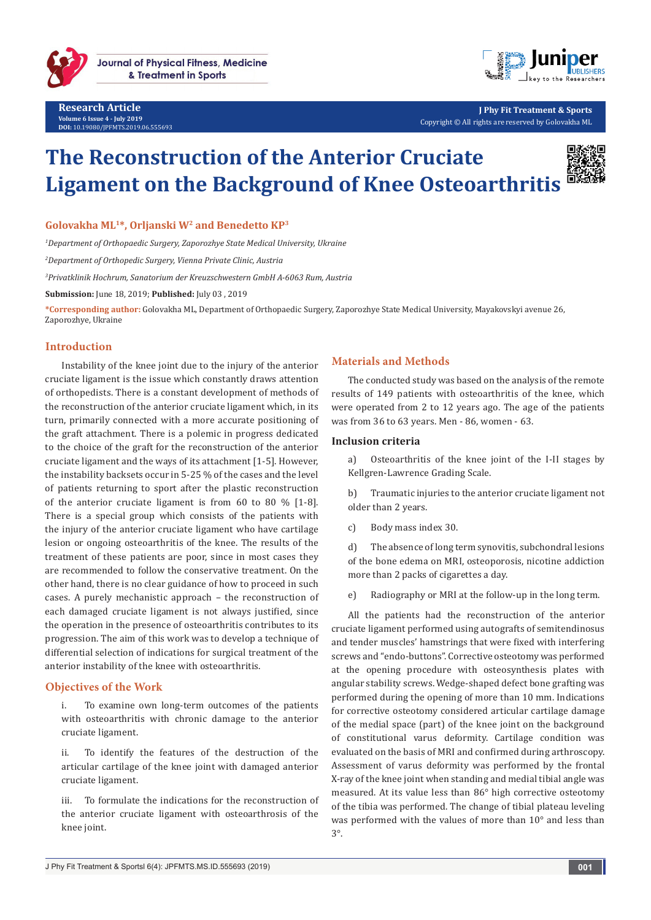



**J Phy Fit Treatment & Sports** Copyright © All rights are reserved by Golovakha ML

# **The Reconstruction of the Anterior Cruciate Ligament on the Background of Knee Osteoarthritis**



**Golovakha ML1\*, Orljanski W2 and Benedetto KP3**

*1 Department of Orthopaedic Surgery, Zaporozhye State Medical University, Ukraine*

*2 Department of Orthopedic Surgery, Vienna Private Clinic, Austria*

*3 Privatklinik Hochrum, Sanatorium der Kreuzschwestern GmbH A-6063 Rum, Austria*

**Submission:** June 18, 2019; **Published:** July 03 , 2019

**\*Corresponding author:** Golovakha ML, Department of Orthopaedic Surgery, Zaporozhye State Medical University, Mayakovskyi avenue 26, Zaporozhye, Ukraine

## **Introduction**

Instability of the knee joint due to the injury of the anterior cruciate ligament is the issue which constantly draws attention of orthopedists. There is a constant development of methods of the reconstruction of the anterior cruciate ligament which, in its turn, primarily connected with a more accurate positioning of the graft attachment. There is a polemic in progress dedicated to the choice of the graft for the reconstruction of the anterior cruciate ligament and the ways of its attachment [1-5]. However, the instability backsets occur in 5-25 % of the cases and the level of patients returning to sport after the plastic reconstruction of the anterior cruciate ligament is from 60 to 80 % [1-8]. There is a special group which consists of the patients with the injury of the anterior cruciate ligament who have cartilage lesion or ongoing osteoarthritis of the knee. The results of the treatment of these patients are poor, since in most cases they are recommended to follow the conservative treatment. On the other hand, there is no clear guidance of how to proceed in such cases. A purely mechanistic approach – the reconstruction of each damaged cruciate ligament is not always justified, since the operation in the presence of osteoarthritis contributes to its progression. The aim of this work was to develop a technique of differential selection of indications for surgical treatment of the anterior instability of the knee with osteoarthritis.

## **Objectives of the Work**

i. To examine own long-term outcomes of the patients with osteoarthritis with chronic damage to the anterior cruciate ligament.

ii. To identify the features of the destruction of the articular cartilage of the knee joint with damaged anterior cruciate ligament.

iii. To formulate the indications for the reconstruction of the anterior cruciate ligament with osteoarthrosis of the knee joint.

# **Materials and Methods**

The conducted study was based on the analysis of the remote results of 149 patients with osteoarthritis of the knee, which were operated from 2 to 12 years ago. The age of the patients was from 36 to 63 years. Men - 86, women - 63.

#### **Inclusion criteria**

a) Osteoarthritis of the knee joint of the I-II stages by Kellgren-Lawrence Grading Scale.

b) Traumatic injuries to the anterior cruciate ligament not older than 2 years.

c) Body mass index 30.

d) The absence of long term synovitis, subchondral lesions of the bone edema on MRI, osteoporosis, nicotine addiction more than 2 packs of cigarettes a day.

e) Radiography or MRI at the follow-up in the long term.

All the patients had the reconstruction of the anterior cruciate ligament performed using autografts of semitendinosus and tender muscles' hamstrings that were fixed with interfering screws and "endo-buttons". Corrective osteotomy was performed at the opening procedure with osteosynthesis plates with angular stability screws. Wedge-shaped defect bone grafting was performed during the opening of more than 10 mm. Indications for corrective osteotomy considered articular cartilage damage of the medial space (part) of the knee joint on the background of constitutional varus deformity. Cartilage condition was evaluated on the basis of MRI and confirmed during arthroscopy. Assessment of varus deformity was performed by the frontal X-ray of the knee joint when standing and medial tibial angle was measured. At its value less than 86° high corrective osteotomy of the tibia was performed. The change of tibial plateau leveling was performed with the values of more than 10° and less than 3°.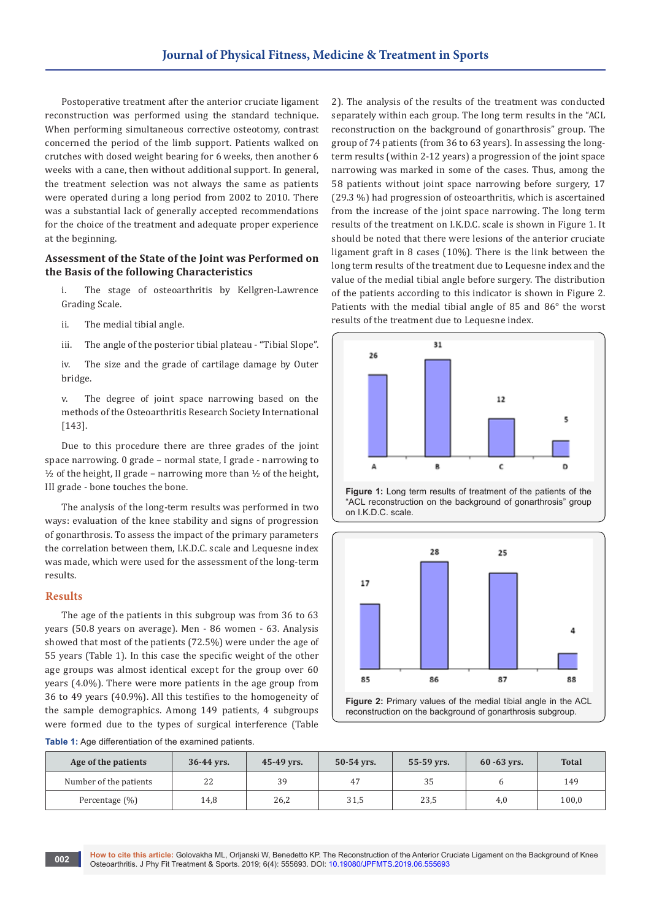Postoperative treatment after the anterior cruciate ligament reconstruction was performed using the standard technique. When performing simultaneous corrective osteotomy, contrast concerned the period of the limb support. Patients walked on crutches with dosed weight bearing for 6 weeks, then another 6 weeks with a cane, then without additional support. In general, the treatment selection was not always the same as patients were operated during a long period from 2002 to 2010. There was a substantial lack of generally accepted recommendations for the choice of the treatment and adequate proper experience at the beginning.

## **Assessment of the State of the Joint was Performed on the Basis of the following Characteristics**

i. The stage of osteoarthritis by Kellgren-Lawrence Grading Scale.

ii. The medial tibial angle.

iii. The angle of the posterior tibial plateau - "Tibial Slope".

iv. The size and the grade of cartilage damage by Outer bridge.

v. The degree of joint space narrowing based on the methods of the Osteoarthritis Research Society International [143].

Due to this procedure there are three grades of the joint space narrowing. 0 grade – normal state, I grade - narrowing to  $\frac{1}{2}$  of the height, II grade – narrowing more than  $\frac{1}{2}$  of the height, III grade - bone touches the bone.

The analysis of the long-term results was performed in two ways: evaluation of the knee stability and signs of progression of gonarthrosis. To assess the impact of the primary parameters the correlation between them, I.K.D.C. scale and Lequesne index was made, which were used for the assessment of the long-term results.

# **Results**

The age of the patients in this subgroup was from 36 to 63 years (50.8 years on average). Men - 86 women - 63. Analysis showed that most of the patients (72.5%) were under the age of 55 years (Table 1). In this case the specific weight of the other age groups was almost identical except for the group over 60 years (4.0%). There were more patients in the age group from 36 to 49 years (40.9%). All this testifies to the homogeneity of the sample demographics. Among 149 patients, 4 subgroups were formed due to the types of surgical interference (Table

2). The analysis of the results of the treatment was conducted separately within each group. The long term results in the "ACL reconstruction on the background of gonarthrosis" group. The group of 74 patients (from 36 to 63 years). In assessing the longterm results (within 2-12 years) a progression of the joint space narrowing was marked in some of the cases. Thus, among the 58 patients without joint space narrowing before surgery, 17 (29.3 %) had progression of osteoarthritis, which is ascertained from the increase of the joint space narrowing. The long term results of the treatment on I.K.D.C. scale is shown in Figure 1. It should be noted that there were lesions of the anterior cruciate ligament graft in 8 cases (10%). There is the link between the long term results of the treatment due to Lequesne index and the value of the medial tibial angle before surgery. The distribution of the patients according to this indicator is shown in Figure 2. Patients with the medial tibial angle of 85 and 86° the worst results of the treatment due to Lequesne index.







reconstruction on the background of gonarthrosis subgroup.

**Table 1:** Age differentiation of the examined patients.

| Age of the patients    | $36 - 44$ yrs. | $45-49$ yrs. | $50-54$ yrs. | $55 - 59$ yrs. | $60 - 63$ yrs. | <b>Total</b> |
|------------------------|----------------|--------------|--------------|----------------|----------------|--------------|
| Number of the patients | 22             | 39           | 47           | 35             |                | 149          |
| Percentage (%)         | 14,8           | 26,2         | 31,5         | 23,5           | 4,0            | 100,0        |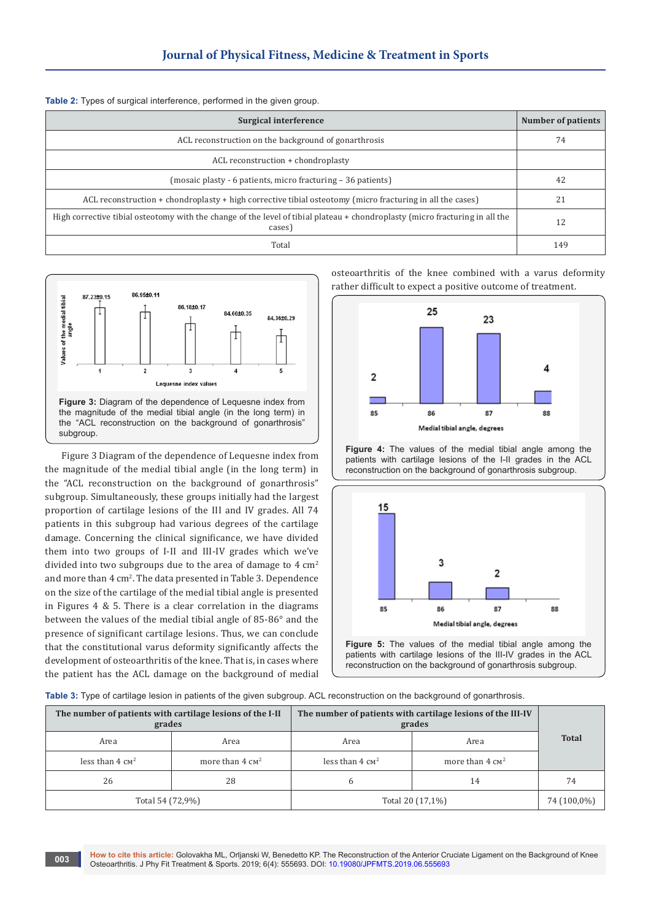|  |  |  | Table 2: Types of surgical interference, performed in the given group. |  |  |  |  |
|--|--|--|------------------------------------------------------------------------|--|--|--|--|
|--|--|--|------------------------------------------------------------------------|--|--|--|--|

| Surgical interference                                                                                                                  | Number of patients |
|----------------------------------------------------------------------------------------------------------------------------------------|--------------------|
| ACL reconstruction on the background of gonarthrosis                                                                                   | 74                 |
| ACL reconstruction + chondroplasty                                                                                                     |                    |
| (mosaic plasty - 6 patients, micro fracturing – 36 patients)                                                                           | 42                 |
| ACL reconstruction $+$ chondroplasty $+$ high corrective tibial osteotomy (micro fracturing in all the cases)                          | 21                 |
| High corrective tibial osteotomy with the change of the level of tibial plateau + chondroplasty (micro fracturing in all the<br>cases) | 12                 |
| Total                                                                                                                                  | 149                |



Figure 3 Diagram of the dependence of Lequesne index from the magnitude of the medial tibial angle (in the long term) in the "ACL reconstruction on the background of gonarthrosis" subgroup. Simultaneously, these groups initially had the largest proportion of cartilage lesions of the III and IV grades. All 74 patients in this subgroup had various degrees of the cartilage damage. Concerning the clinical significance, we have divided them into two groups of I-II and III-IV grades which we've divided into two subgroups due to the area of damage to 4 cm<sup>2</sup> and more than 4 cm<sup>2</sup>. The data presented in Table 3. Dependence on the size of the cartilage of the medial tibial angle is presented in Figures 4 & 5. There is a clear correlation in the diagrams between the values of the medial tibial angle of 85-86° and the presence of significant cartilage lesions. Thus, we can conclude that the constitutional varus deformity significantly affects the development of osteoarthritis of the knee. That is, in cases where the patient has the ACL damage on the background of medial osteoarthritis of the knee combined with a varus deformity rather difficult to expect a positive outcome of treatment.



**Figure 4:** The values of the medial tibial angle among the patients with cartilage lesions of the I-II grades in the ACL reconstruction on the background of gonarthrosis subgroup.



**Figure 5:** The values of the medial tibial angle among the patients with cartilage lesions of the III-IV grades in the ACL reconstruction on the background of gonarthrosis subgroup.

**Table 3:** Type of cartilage lesion in patients of the given subgroup. ACL reconstruction on the background of gonarthrosis.

| The number of patients with cartilage lesions of the I-II<br>grades |    | The number of patients with cartilage lesions of the III-IV<br>grades |                            |              |  |
|---------------------------------------------------------------------|----|-----------------------------------------------------------------------|----------------------------|--------------|--|
| Area<br>Area                                                        |    | Area                                                                  | Area                       | <b>Total</b> |  |
| less than $4 \text{ cm}^2$<br>more than $4 \text{ cm}^2$            |    | less than $4 \text{ cm}^2$                                            | more than $4 \text{ cm}^2$ |              |  |
| 26                                                                  | 28 | 6                                                                     | 14                         | 74           |  |
| Total 54 (72,9%)                                                    |    | Total 20 (17,1%)                                                      | 74 (100,0%)                |              |  |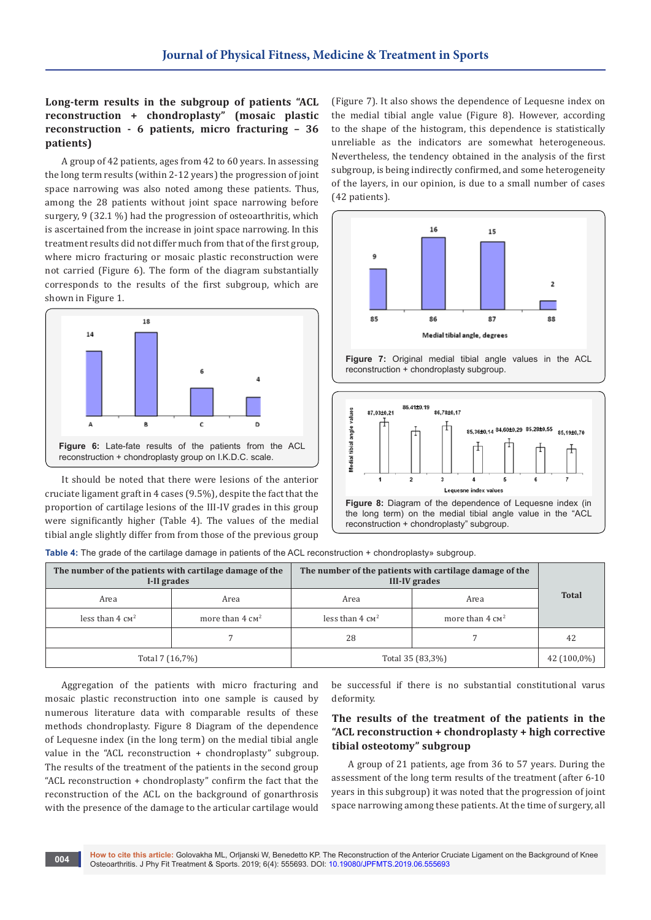# **Long-term results in the subgroup of patients "ACL reconstruction + chondroplasty" (mosaic plastic reconstruction - 6 patients, micro fracturing – 36 patients)**

A group of 42 patients, ages from 42 to 60 years. In assessing the long term results (within 2-12 years) the progression of joint space narrowing was also noted among these patients. Thus, among the 28 patients without joint space narrowing before surgery, 9 (32.1 %) had the progression of osteoarthritis, which is ascertained from the increase in joint space narrowing. In this treatment results did not differ much from that of the first group, where micro fracturing or mosaic plastic reconstruction were not carried (Figure 6). The form of the diagram substantially corresponds to the results of the first subgroup, which are shown in Figure 1.



It should be noted that there were lesions of the anterior cruciate ligament graft in 4 cases (9.5%), despite the fact that the proportion of cartilage lesions of the III-IV grades in this group were significantly higher (Table 4). The values of the medial tibial angle slightly differ from from those of the previous group

(Figure 7). It also shows the dependence of Lequesne index on the medial tibial angle value (Figure 8). However, according to the shape of the histogram, this dependence is statistically unreliable as the indicators are somewhat heterogeneous. Nevertheless, the tendency obtained in the analysis of the first subgroup, is being indirectly confirmed, and some heterogeneity of the layers, in our opinion, is due to a small number of cases (42 patients).







**Table 4:** The grade of the cartilage damage in patients of the ACL reconstruction + chondroplasty» subgroup.

| The number of the patients with cartilage damage of the<br>I-II grades |                            | The number of the patients with cartilage damage of the<br><b>III-IV</b> grades |                            |              |
|------------------------------------------------------------------------|----------------------------|---------------------------------------------------------------------------------|----------------------------|--------------|
| Area                                                                   | Area                       | Area                                                                            | Area                       | <b>Total</b> |
| less than $4 \text{ cm}^2$                                             | more than $4 \text{ cm}^2$ | less than $4 \text{ cm}^2$                                                      | more than $4 \text{ cm}^2$ |              |
|                                                                        |                            | 28                                                                              |                            | 42           |
| Total 7 (16,7%)                                                        |                            | Total 35 (83,3%)                                                                | 42 (100,0%)                |              |

Aggregation of the patients with micro fracturing and mosaic plastic reconstruction into one sample is caused by numerous literature data with comparable results of these methods chondroplasty. Figure 8 Diagram of the dependence of Lequesne index (in the long term) on the medial tibial angle value in the "ACL reconstruction + chondroplasty" subgroup. The results of the treatment of the patients in the second group "ACL reconstruction + chondroplasty" confirm the fact that the reconstruction of the ACL on the background of gonarthrosis with the presence of the damage to the articular cartilage would

be successful if there is no substantial constitutional varus deformity.

# **The results of the treatment of the patients in the "ACL reconstruction + chondroplasty + high corrective tibial osteotomy" subgroup**

A group of 21 patients, age from 36 to 57 years. During the assessment of the long term results of the treatment (after 6-10 years in this subgroup) it was noted that the progression of joint space narrowing among these patients. At the time of surgery, all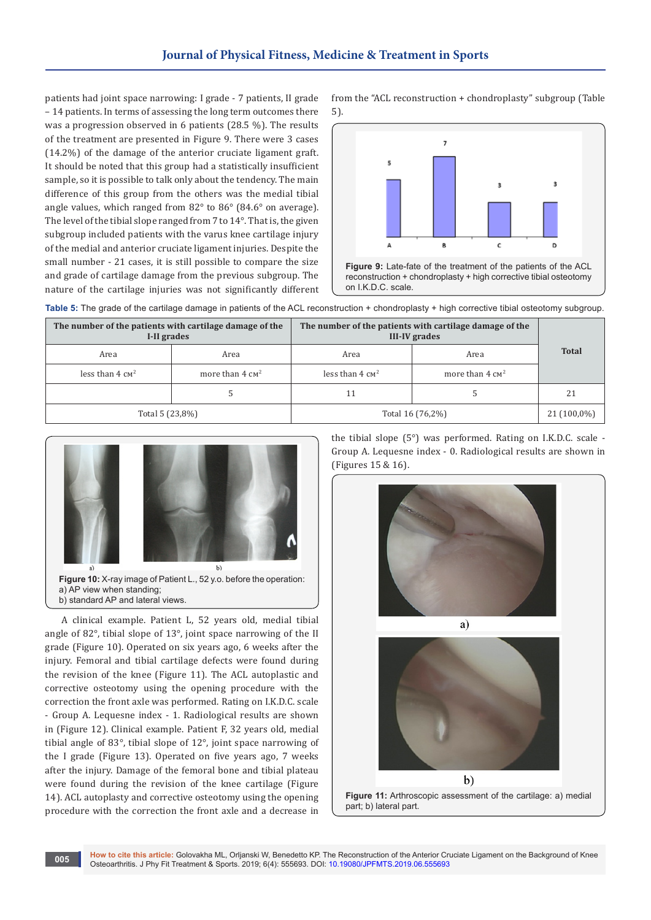patients had joint space narrowing: I grade - 7 patients, II grade – 14 patients. In terms of assessing the long term outcomes there was a progression observed in 6 patients (28.5 %). The results of the treatment are presented in Figure 9. There were 3 cases (14.2%) of the damage of the anterior cruciate ligament graft. It should be noted that this group had a statistically insufficient sample, so it is possible to talk only about the tendency. The main difference of this group from the others was the medial tibial angle values, which ranged from 82° to 86° (84.6° on average). The level of the tibial slope ranged from 7 to 14°. That is, the given subgroup included patients with the varus knee cartilage injury of the medial and anterior cruciate ligament injuries. Despite the small number - 21 cases, it is still possible to compare the size and grade of cartilage damage from the previous subgroup. The nature of the cartilage injuries was not significantly different from the "ACL reconstruction + chondroplasty" subgroup (Table 5).



Table 5: The grade of the cartilage damage in patients of the ACL reconstruction + chondroplasty + high corrective tibial osteotomy subgroup.

| The number of the patients with cartilage damage of the<br>I-II grades |                            | The number of the patients with cartilage damage of the<br><b>III-IV</b> grades |                            |              |
|------------------------------------------------------------------------|----------------------------|---------------------------------------------------------------------------------|----------------------------|--------------|
| Area                                                                   | Area                       | Area                                                                            | Area                       | <b>Total</b> |
| less than $4 \text{ cm}^2$                                             | more than $4 \text{ cm}^2$ | less than $4 \text{ cm}^2$                                                      | more than $4 \text{ cm}^2$ |              |
|                                                                        |                            | 11                                                                              |                            | 21           |
| Total 5 (23,8%)                                                        |                            | Total 16 (76,2%)                                                                | 21 (100,0%)                |              |



b) standard AP and lateral views.

A clinical example. Patient L, 52 years old, medial tibial angle of 82°, tibial slope of 13°, joint space narrowing of the II grade (Figure 10). Operated on six years ago, 6 weeks after the injury. Femoral and tibial cartilage defects were found during the revision of the knee (Figure 11). The ACL autoplastic and corrective osteotomy using the opening procedure with the correction the front axle was performed. Rating on I.K.D.C. scale - Group A. Lequesne index - 1. Radiological results are shown in (Figure 12). Clinical example. Patient F, 32 years old, medial tibial angle of 83°, tibial slope of 12°, joint space narrowing of the I grade (Figure 13). Operated on five years ago, 7 weeks after the injury. Damage of the femoral bone and tibial plateau were found during the revision of the knee cartilage (Figure 14). ACL autoplasty and corrective osteotomy using the opening procedure with the correction the front axle and a decrease in the tibial slope (5°) was performed. Rating on I.K.D.C. scale - Group A. Lequesne index - 0. Radiological results are shown in (Figures 15 & 16).





**Figure 11:** Arthroscopic assessment of the cartilage: а) medial part; b) lateral part.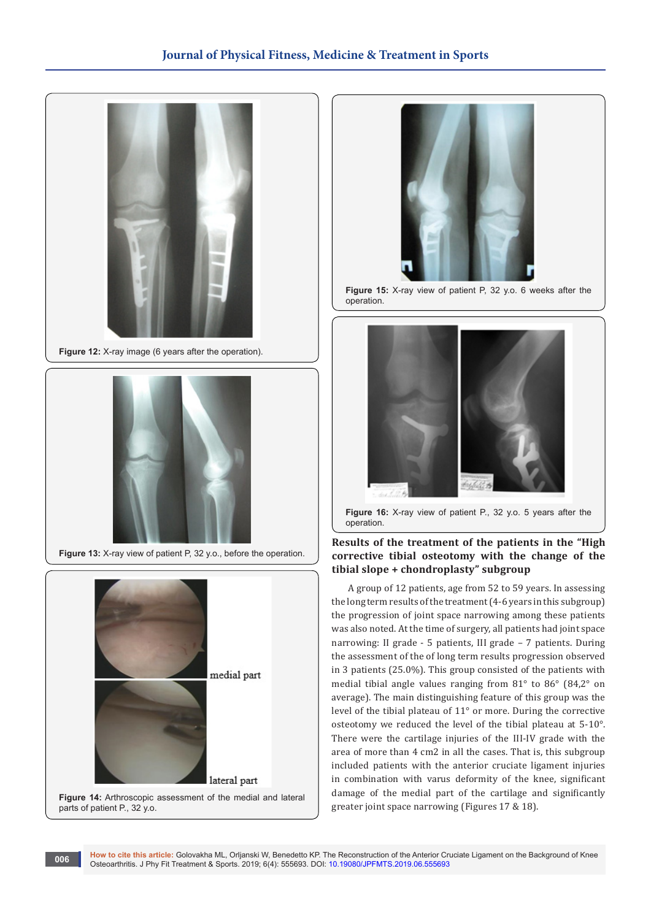

**Figure 12:** X-ray image (6 years after the operation).



**Figure 13:** X-ray view of patient P, 32 y.o., before the operation.



parts of patient P., 32 y.o.



**Figure 15:** X-ray view of patient P, 32 y.o. 6 weeks after the operation.



**Figure 16:** X-ray view of patient P., 32 y.o. 5 years after the operation.

# **Results of the treatment of the patients in the "High corrective tibial osteotomy with the change of the tibial slope + chondroplasty" subgroup**

A group of 12 patients, age from 52 to 59 years. In assessing the long term results of the treatment (4-6 years in this subgroup) the progression of joint space narrowing among these patients was also noted. At the time of surgery, all patients had joint space narrowing: II grade - 5 patients, III grade – 7 patients. During the assessment of the of long term results progression observed in 3 patients (25.0%). This group consisted of the patients with medial tibial angle values ranging from 81° to 86° (84,2° on average). The main distinguishing feature of this group was the level of the tibial plateau of 11° or more. During the corrective osteotomy we reduced the level of the tibial plateau at 5-10°. There were the cartilage injuries of the III-IV grade with the area of more than 4 cm2 in all the cases. That is, this subgroup included patients with the anterior cruciate ligament injuries in combination with varus deformity of the knee, significant damage of the medial part of the cartilage and significantly greater joint space narrowing (Figures 17 & 18).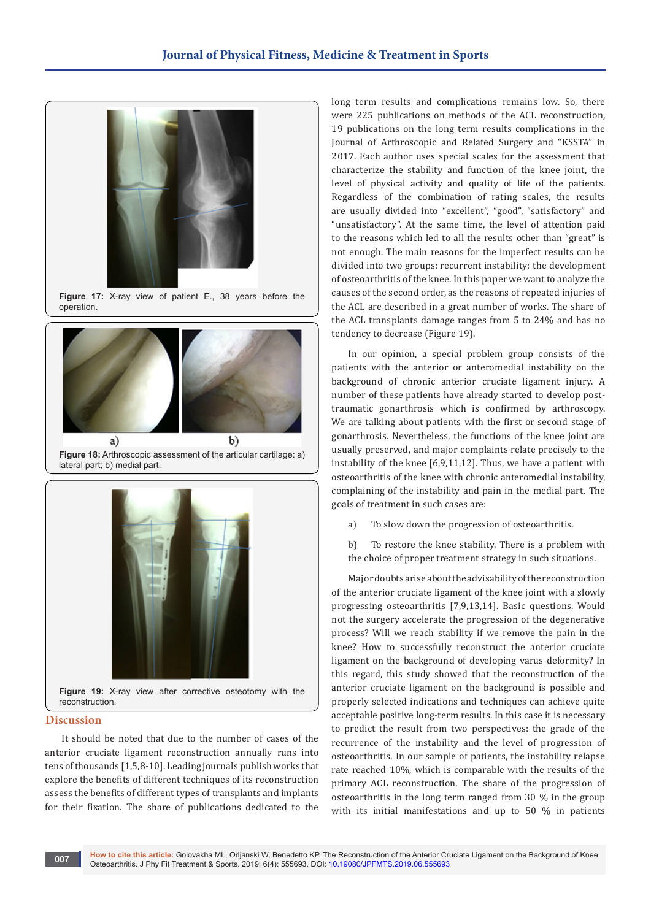



**Figure 18:** Arthroscopic assessment of the articular cartilage: a) lateral part; b) medial part.



#### **Discussion**

It should be noted that due to the number of cases of the anterior cruciate ligament reconstruction annually runs into tens of thousands [1,5,8-10]. Leading journals publish works that explore the benefits of different techniques of its reconstruction assess the benefits of different types of transplants and implants for their fixation. The share of publications dedicated to the

long term results and complications remains low. So, there were 225 publications on methods of the ACL reconstruction, 19 publications on the long term results complications in the Journal of Arthroscopic and Related Surgery and "KSSTA" in 2017. Each author uses special scales for the assessment that characterize the stability and function of the knee joint, the level of physical activity and quality of life of the patients. Regardless of the combination of rating scales, the results are usually divided into "excellent", "good", "satisfactory" and "unsatisfactory". At the same time, the level of attention paid to the reasons which led to all the results other than "great" is not enough. The main reasons for the imperfect results can be divided into two groups: recurrent instability; the development of osteoarthritis of the knee. In this paper we want to analyze the causes of the second order, as the reasons of repeated injuries of the ACL are described in a great number of works. The share of the ACL transplants damage ranges from 5 to 24% and has no tendency to decrease (Figure 19).

In our opinion, a special problem group consists of the patients with the anterior or anteromedial instability on the background of chronic anterior cruciate ligament injury. A number of these patients have already started to develop posttraumatic gonarthrosis which is confirmed by arthroscopy. We are talking about patients with the first or second stage of gonarthrosis. Nevertheless, the functions of the knee joint are usually preserved, and major complaints relate precisely to the instability of the knee [6,9,11,12]. Thus, we have a patient with osteoarthritis of the knee with chronic anteromedial instability, complaining of the instability and pain in the medial part. The goals of treatment in such cases are:

- a) To slow down the progression of osteoarthritis.
- b) To restore the knee stability. There is a problem with the choice of proper treatment strategy in such situations.

Major doubts arise about the advisability of the reconstruction of the anterior cruciate ligament of the knee joint with a slowly progressing osteoarthritis [7,9,13,14]. Basic questions. Would not the surgery accelerate the progression of the degenerative process? Will we reach stability if we remove the pain in the knee? How to successfully reconstruct the anterior cruciate ligament on the background of developing varus deformity? In this regard, this study showed that the reconstruction of the anterior cruciate ligament on the background is possible and properly selected indications and techniques can achieve quite acceptable positive long-term results. In this case it is necessary to predict the result from two perspectives: the grade of the recurrence of the instability and the level of progression of osteoarthritis. In our sample of patients, the instability relapse rate reached 10%, which is comparable with the results of the primary ACL reconstruction. The share of the progression of osteoarthritis in the long term ranged from 30 % in the group with its initial manifestations and up to 50 % in patients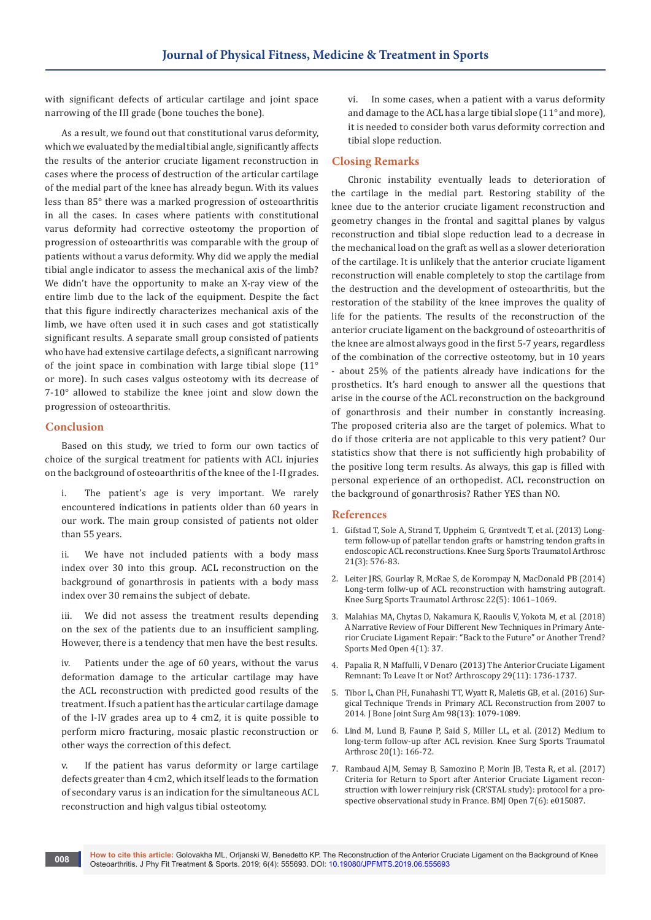with significant defects of articular cartilage and joint space narrowing of the III grade (bone touches the bone).

As a result, we found out that constitutional varus deformity, which we evaluated by the medial tibial angle, significantly affects the results of the anterior cruciate ligament reconstruction in cases where the process of destruction of the articular cartilage of the medial part of the knee has already begun. With its values less than 85° there was a marked progression of osteoarthritis in all the cases. In cases where patients with constitutional varus deformity had corrective osteotomy the proportion of progression of osteoarthritis was comparable with the group of patients without a varus deformity. Why did we apply the medial tibial angle indicator to assess the mechanical axis of the limb? We didn't have the opportunity to make an X-ray view of the entire limb due to the lack of the equipment. Despite the fact that this figure indirectly characterizes mechanical axis of the limb, we have often used it in such cases and got statistically significant results. A separate small group consisted of patients who have had extensive cartilage defects, a significant narrowing of the joint space in combination with large tibial slope (11° or more). In such cases valgus osteotomy with its decrease of 7-10° allowed to stabilize the knee joint and slow down the progression of osteoarthritis.

#### **Conclusion**

Based on this study, we tried to form our own tactics of choice of the surgical treatment for patients with ACL injuries on the background of osteoarthritis of the knee of the I-II grades.

i. The patient's age is very important. We rarely encountered indications in patients older than 60 years in our work. The main group consisted of patients not older than 55 years.

ii. We have not included patients with a body mass index over 30 into this group. ACL reconstruction on the background of gonarthrosis in patients with a body mass index over 30 remains the subject of debate.

iii. We did not assess the treatment results depending on the sex of the patients due to an insufficient sampling. However, there is a tendency that men have the best results.

iv. Patients under the age of 60 years, without the varus deformation damage to the articular cartilage may have the ACL reconstruction with predicted good results of the treatment. If such a patient has the articular cartilage damage of the I-IV grades area up to 4 cm2, it is quite possible to perform micro fracturing, mosaic plastic reconstruction or other ways the correction of this defect.

v. If the patient has varus deformity or large cartilage defects greater than 4 cm2, which itself leads to the formation of secondary varus is an indication for the simultaneous ACL reconstruction and high valgus tibial osteotomy.

vi. In some cases, when a patient with a varus deformity and damage to the ACL has a large tibial slope (11° and more), it is needed to consider both varus deformity correction and tibial slope reduction.

#### **Closing Remarks**

Chronic instability eventually leads to deterioration of the cartilage in the medial part. Restoring stability of the knee due to the anterior cruciate ligament reconstruction and geometry changes in the frontal and sagittal planes by valgus reconstruction and tibial slope reduction lead to a decrease in the mechanical load on the graft as well as a slower deterioration of the cartilage. It is unlikely that the anterior cruciate ligament reconstruction will enable completely to stop the cartilage from the destruction and the development of osteoarthritis, but the restoration of the stability of the knee improves the quality of life for the patients. The results of the reconstruction of the anterior cruciate ligament on the background of osteoarthritis of the knee are almost always good in the first 5-7 years, regardless of the combination of the corrective osteotomy, but in 10 years - about 25% of the patients already have indications for the prosthetics. It's hard enough to answer all the questions that arise in the course of the ACL reconstruction on the background of gonarthrosis and their number in constantly increasing. The proposed criteria also are the target of polemics. What to do if those criteria are not applicable to this very patient? Our statistics show that there is not sufficiently high probability of the positive long term results. As always, this gap is filled with personal experience of an orthopedist. ACL reconstruction on the background of gonarthrosis? Rather YES than NO.

#### **References**

- 1. [Gifstad T, Sole A, Strand T, Uppheim G, Grøntvedt T, et al. \(2013\) Long](https://www.ncbi.nlm.nih.gov/pubmed/22407182)[term follow-up of patellar tendon grafts or hamstring tendon grafts in](https://www.ncbi.nlm.nih.gov/pubmed/22407182)  [endoscopic ACL reconstructions. Knee Surg Sports Traumatol Arthrosc](https://www.ncbi.nlm.nih.gov/pubmed/22407182)  [21\(3\): 576-83.](https://www.ncbi.nlm.nih.gov/pubmed/22407182)
- 2. [Leiter JRS, Gourlay R, McRae S, de Korompay N, MacDonald PB \(2014\)](https://www.ncbi.nlm.nih.gov/pubmed/23595537)  [Long-term follw-up of ACL reconstruction with hamstring autograft.](https://www.ncbi.nlm.nih.gov/pubmed/23595537)  [Knee Surg Sports Traumatol Arthrosc 22\(5\): 1061–1069.](https://www.ncbi.nlm.nih.gov/pubmed/23595537)
- 3. [Malahias MA, Chytas D, Nakamura K, Raoulis V, Yokota M, et al. \(2018\)](https://www.ncbi.nlm.nih.gov/pubmed/30094753)  [A Narrative Review of Four Different New Techniques in Primary Ante](https://www.ncbi.nlm.nih.gov/pubmed/30094753)[rior Cruciate Ligament Repair: "Back to the Future" or Another Trend?](https://www.ncbi.nlm.nih.gov/pubmed/30094753)  [Sports Med Open 4\(1\): 37.](https://www.ncbi.nlm.nih.gov/pubmed/30094753)
- 4. [Papalia R, N Maffulli, V Denaro \(2013\) The Anterior Cruciate Ligament](https://www.ncbi.nlm.nih.gov/pubmed/24209667)  [Remnant: To Leave It or Not? Arthroscopy 29\(11\): 1736-1737.](https://www.ncbi.nlm.nih.gov/pubmed/24209667)
- 5. [Tibor L, Chan PH, Funahashi TT, Wyatt R, Maletis GB, et al. \(2016\) Sur](https://www.ncbi.nlm.nih.gov/pubmed/27385681)[gical Technique Trends in Primary ACL Reconstruction from 2007 to](https://www.ncbi.nlm.nih.gov/pubmed/27385681)  [2014. J Bone Joint Surg Am 98\(13\): 1079-1089.](https://www.ncbi.nlm.nih.gov/pubmed/27385681)
- 6. [Lind M, Lund B, Faunø P, Said S, Miller LL, et al. \(2012\) Medium to](https://www.ncbi.nlm.nih.gov/pubmed/21800165)  [long-term follow-up after ACL revision. Knee Surg Sports Traumatol](https://www.ncbi.nlm.nih.gov/pubmed/21800165)  [Arthrosc 20\(1\): 166-72.](https://www.ncbi.nlm.nih.gov/pubmed/21800165)
- 7. [Rambaud AJM, Semay B, Samozino P, Morin JB, Testa R, et al. \(2017\)](https://www.ncbi.nlm.nih.gov/pubmed/28667211)  [Criteria for Return to Sport after Anterior Cruciate Ligament recon](https://www.ncbi.nlm.nih.gov/pubmed/28667211)[struction with lower reinjury risk \(CR'STAL study\): protocol for a pro](https://www.ncbi.nlm.nih.gov/pubmed/28667211)[spective observational study in France. BMJ Open 7\(6\): e015087.](https://www.ncbi.nlm.nih.gov/pubmed/28667211)